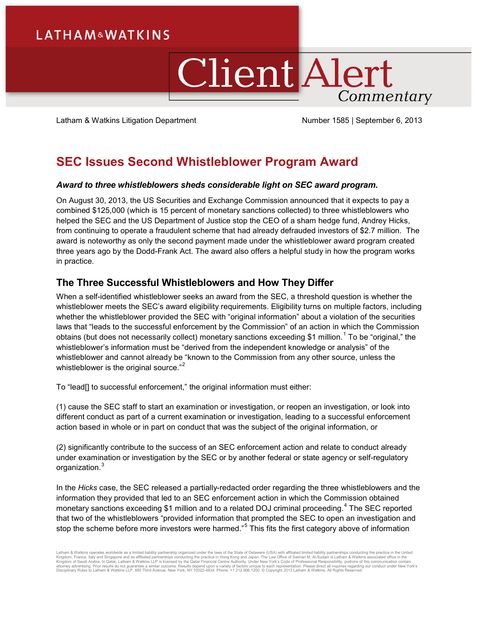# **LATHAM&WATKINS**

# **Client Alert** Commentary

Latham & Watkins Litigation Department Number 1585 | September 6, 2013

## **SEC Issues Second Whistleblower Program Award**

## *Award to three whistleblowers sheds considerable light on SEC award program.*

On August 30, 2013, the US Securities and Exchange Commission announced that it expects to pay a combined \$125,000 (which is 15 percent of monetary sanctions collected) to three whistleblowers who helped the SEC and the US Department of Justice stop the CEO of a sham hedge fund, Andrey Hicks, from continuing to operate a fraudulent scheme that had already defrauded investors of \$2.7 million. The award is noteworthy as only the second payment made under the whistleblower award program created three years ago by the Dodd-Frank Act. The award also offers a helpful study in how the program works in practice.

## **The Three Successful Whistleblowers and How They Differ**

When a self-identified whistleblower seeks an award from the SEC, a threshold question is whether the whistleblower meets the SEC's award eligibility requirements. Eligibility turns on multiple factors, including whether the whistleblower provided the SEC with "original information" about a violation of the securities laws that "leads to the successful enforcement by the Commission" of an action in which the Commission obtains (but does not necessarily collect) monetary sanctions exceeding \$[1](#page-3-0) million.<sup>1</sup> To be "original," the whistleblower's information must be "derived from the independent knowledge or analysis" of the whistleblower and cannot already be "known to the Commission from any other source, unless the whistleblower is the original source."<sup>[2](#page-3-1)</sup>

To "lead[] to successful enforcement," the original information must either:

(1) cause the SEC staff to start an examination or investigation, or reopen an investigation, or look into different conduct as part of a current examination or investigation, leading to a successful enforcement action based in whole or in part on conduct that was the subject of the original information, or

(2) significantly contribute to the success of an SEC enforcement action and relate to conduct already under examination or investigation by the SEC or by another federal or state agency or self-regulatory organization.<sup>[3](#page-3-2)</sup>

In the *Hicks* case, the SEC released a partially-redacted order regarding the three whistleblowers and the information they provided that led to an SEC enforcement action in which the Commission obtained monetary sanctions exceeding \$1 million and to a related DOJ criminal proceeding.<sup>[4](#page-3-3)</sup> The SEC reported that two of the whistleblowers "provided information that prompted the SEC to open an investigation and stop the scheme before more investors were harmed."<sup>[5](#page-3-4)</sup> This fits the first category above of information

Latham & Watkins operates worldwide as a limited liability partnership organized under the laws of the State of Delaware (USA) with affiliated limited liability partnerships conducting the practice in the United<br>Kingdom of Disciplinary Rules to Latham & Watkins LLP, 885 Third Avenue, New York, NY 10022-4834, Phone: +1.212.906.1200. © Copyright 2013 Latham & Watkins. All Rights Reserved.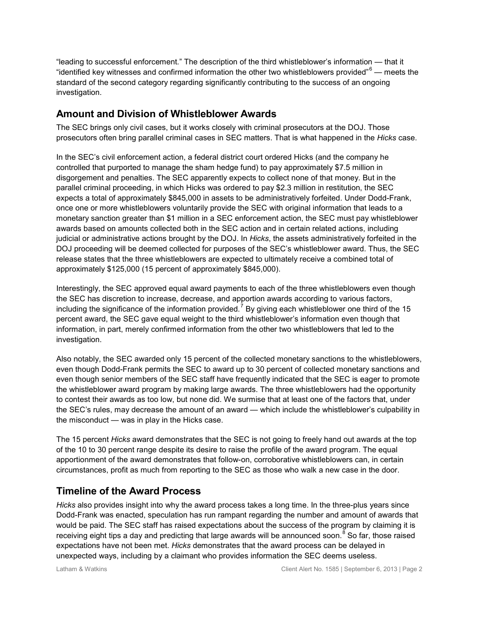"leading to successful enforcement." The description of the third whistleblower's information — that it "identified key witnesses and confirmed information the other two whistleblowers provided" $6$  — meets the standard of the second category regarding significantly contributing to the success of an ongoing investigation.

## **Amount and Division of Whistleblower Awards**

The SEC brings only civil cases, but it works closely with criminal prosecutors at the DOJ. Those prosecutors often bring parallel criminal cases in SEC matters. That is what happened in the *Hicks* case.

In the SEC's civil enforcement action, a federal district court ordered Hicks (and the company he controlled that purported to manage the sham hedge fund) to pay approximately \$7.5 million in disgorgement and penalties. The SEC apparently expects to collect none of that money. But in the parallel criminal proceeding, in which Hicks was ordered to pay \$2.3 million in restitution, the SEC expects a total of approximately \$845,000 in assets to be administratively forfeited. Under Dodd-Frank, once one or more whistleblowers voluntarily provide the SEC with original information that leads to a monetary sanction greater than \$1 million in a SEC enforcement action, the SEC must pay whistleblower awards based on amounts collected both in the SEC action and in certain related actions, including judicial or administrative actions brought by the DOJ. In *Hicks*, the assets administratively forfeited in the DOJ proceeding will be deemed collected for purposes of the SEC's whistleblower award. Thus, the SEC release states that the three whistleblowers are expected to ultimately receive a combined total of approximately \$125,000 (15 percent of approximately \$845,000).

Interestingly, the SEC approved equal award payments to each of the three whistleblowers even though the SEC has discretion to increase, decrease, and apportion awards according to various factors, including the significance of the information provided.<sup>[7](#page-3-6)</sup> By giving each whistleblower one third of the 15 percent award, the SEC gave equal weight to the third whistleblower's information even though that information, in part, merely confirmed information from the other two whistleblowers that led to the investigation.

Also notably, the SEC awarded only 15 percent of the collected monetary sanctions to the whistleblowers, even though Dodd-Frank permits the SEC to award up to 30 percent of collected monetary sanctions and even though senior members of the SEC staff have frequently indicated that the SEC is eager to promote the whistleblower award program by making large awards. The three whistleblowers had the opportunity to contest their awards as too low, but none did. We surmise that at least one of the factors that, under the SEC's rules, may decrease the amount of an award — which include the whistleblower's culpability in the misconduct — was in play in the Hicks case.

The 15 percent *Hicks* award demonstrates that the SEC is not going to freely hand out awards at the top of the 10 to 30 percent range despite its desire to raise the profile of the award program. The equal apportionment of the award demonstrates that follow-on, corroborative whistleblowers can, in certain circumstances, profit as much from reporting to the SEC as those who walk a new case in the door.

## **Timeline of the Award Process**

*Hicks* also provides insight into why the award process takes a long time. In the three-plus years since Dodd-Frank was enacted, speculation has run rampant regarding the number and amount of awards that would be paid. The SEC staff has raised expectations about the success of the program by claiming it is receiving eight tips a day and predicting that large awards will be announced soon.<sup>[8](#page-3-7)</sup> So far, those raised expectations have not been met. *Hicks* demonstrates that the award process can be delayed in unexpected ways, including by a claimant who provides information the SEC deems useless.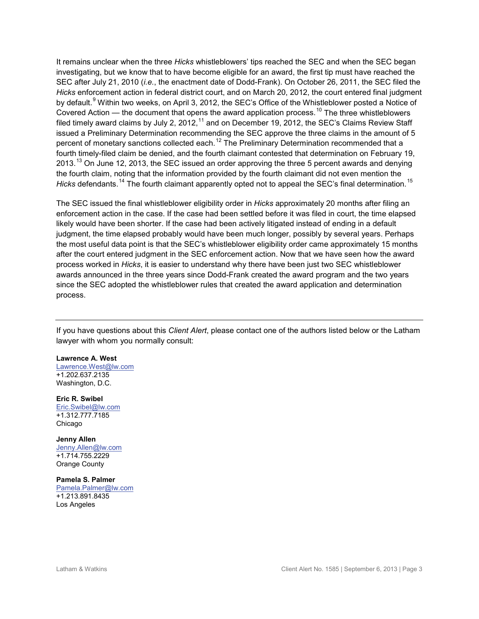It remains unclear when the three *Hicks* whistleblowers' tips reached the SEC and when the SEC began investigating, but we know that to have become eligible for an award, the first tip must have reached the SEC after July 21, 2010 (*i.e.*, the enactment date of Dodd-Frank). On October 26, 2011, the SEC filed the *Hicks* enforcement action in federal district court, and on March 20, 2012, the court entered final judgment by default.<sup>[9](#page-3-8)</sup> Within two weeks, on April 3, 2012, the SEC's Office of the Whistleblower posted a Notice of Covered Action — the document that opens the award application process.<sup>[10](#page-3-9)</sup> The three whistleblowers filed timely award claims by July 2, 2012,  $^{11}$  $^{11}$  $^{11}$  and on December 19, 2012, the SEC's Claims Review Staff issued a Preliminary Determination recommending the SEC approve the three claims in the amount of 5 percent of monetary sanctions collected each.<sup>[12](#page-3-11)</sup> The Preliminary Determination recommended that a fourth timely-filed claim be denied, and the fourth claimant contested that determination on February 19, 20[13](#page-3-12).<sup>13</sup> On June 12, 2013, the SEC issued an order approving the three 5 percent awards and denying the fourth claim, noting that the information provided by the fourth claimant did not even mention the *Hicks* defendants.<sup>[14](#page-3-13)</sup> The fourth claimant apparently opted not to appeal the SEC's final determination.<sup>[15](#page-3-14)</sup>

The SEC issued the final whistleblower eligibility order in *Hicks* approximately 20 months after filing an enforcement action in the case. If the case had been settled before it was filed in court, the time elapsed likely would have been shorter. If the case had been actively litigated instead of ending in a default judgment, the time elapsed probably would have been much longer, possibly by several years. Perhaps the most useful data point is that the SEC's whistleblower eligibility order came approximately 15 months after the court entered judgment in the SEC enforcement action. Now that we have seen how the award process worked in *Hicks*, it is easier to understand why there have been just two SEC whistleblower awards announced in the three years since Dodd-Frank created the award program and the two years since the SEC adopted the whistleblower rules that created the award application and determination process.

If you have questions about this *Client Alert*, please contact one of the authors listed below or the Latham lawyer with whom you normally consult:

### **Lawrence A. West**

[Lawrence.West@lw.com](mailto:Lawrence.West@lw.com) +1.202.637.2135 Washington, D.C.

### **Eric R. Swibel**

[Eric.Swibel@lw.com](mailto:Eric.Swibel@lw.com)  +1.312.777.7185 Chicago

**Jenny Allen** [Jenny.Allen@lw.com](mailto:Jenny.Allen@lw.com) +1.714.755.2229 Orange County

#### **Pamela S. Palmer**

[Pamela.Palmer@lw.com](mailto:Pamela.Palmer@lw.com) +1.213.891.8435 Los Angeles